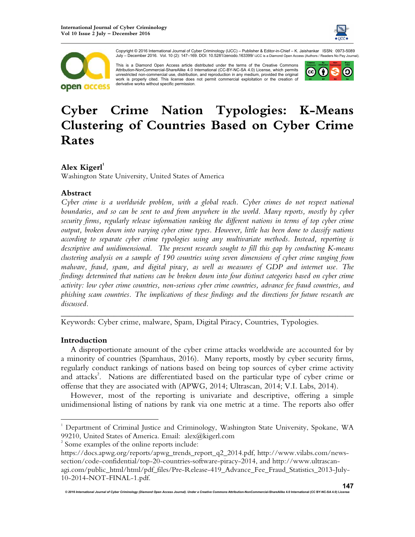



Copyright © 2016 International Journal of Cyber Criminology (IJCC) – Publisher & Editor-in-Chief – K. Jaishankar ISSN: 0973-5089 July – December 2016. Vol. 10 (2): 147–169. DOI: 10.5281/zenodo.163399/ IJCC is a Diamond Open Access (Authors / Readers No Pay Journal).

This is a Diamond Open Access article distributed under the terms of the Creative Commons Attribution-NonCommercial-ShareAlike 4.0 International (CC-BY-NC-SA 4.0) License, which permits unrestricted non-commercial use, distribution, and reproduction in any medium, provided the original work is properly cited. This license does not permit commercial exploitation or the creation of derivative works without specific permission.



# **Cyber Crime Nation Typologies: K-Means Clustering of Countries Based on Cyber Crime Rates**

### **Alex Kigerl<sup>1</sup>**

Washington State University, United States of America

#### **Abstract**

*Cyber crime is a worldwide problem, with a global reach. Cyber crimes do not respect national boundaries, and so can be sent to and from anywhere in the world. Many reports, mostly by cyber security firms, regularly release information ranking the different nations in terms of top cyber crime output, broken down into varying cyber crime types. However, little has been done to classify nations according to separate cyber crime typologies using any multivariate methods. Instead, reporting is descriptive and unidimensional. The present research sought to fill this gap by conducting K-means clustering analysis on a sample of 190 countries using seven dimensions of cyber crime ranging from malware, fraud, spam, and digital piracy, as well as measures of GDP and internet use. The findings determined that nations can be broken down into four distinct categories based on cyber crime activity: low cyber crime countries, non-serious cyber crime countries, advance fee fraud countries, and phishing scam countries. The implications of these findings and the directions for future research are discussed.* 

Keywords: Cyber crime, malware, Spam, Digital Piracy, Countries, Typologies.

#### **Introduction**

 $\overline{a}$ 

A disproportionate amount of the cyber crime attacks worldwide are accounted for by a minority of countries (Spamhaus, 2016). Many reports, mostly by cyber security firms, regularly conduct rankings of nations based on being top sources of cyber crime activity and attacks<sup>2</sup>. Nations are differentiated based on the particular type of cyber crime or offense that they are associated with (APWG, 2014; Ultrascan, 2014; V.I. Labs, 2014).

*\_\_\_\_\_\_\_\_\_\_\_\_\_\_\_\_\_\_\_\_\_\_\_\_\_\_\_\_\_\_\_\_\_\_\_\_\_\_\_\_\_\_\_\_\_\_\_\_\_\_\_\_\_\_\_\_\_\_\_\_\_\_\_\_\_\_\_\_\_\_\_\_*

However, most of the reporting is univariate and descriptive, offering a simple unidimensional listing of nations by rank via one metric at a time. The reports also offer

<sup>&</sup>lt;sup>1</sup> Department of Criminal Justice and Criminology, Washington State University, Spokane, WA 99210, United States of America. Email: alex@kigerl.com

<sup>&</sup>lt;sup>2</sup> Some examples of the online reports include:

https://docs.apwg.org/reports/apwg\_trends\_report\_q2\_2014.pdf, http://www.vilabs.com/newssection/code-confidential/top-20-countries-software-piracy-2014, and http://www.ultrascanagi.com/public\_html/html/pdf\_files/Pre-Release-419\_Advance\_Fee\_Fraud\_Statistics\_2013-July-10-2014-NOT-FINAL-1.pdf.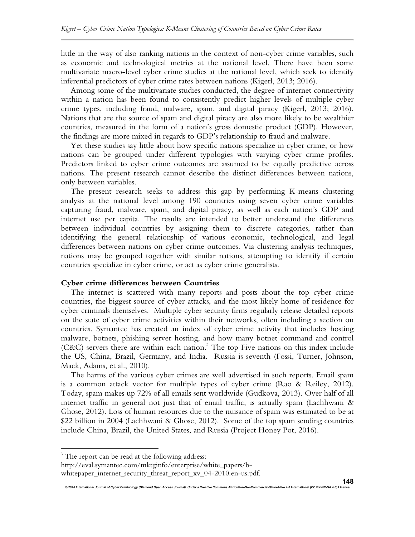little in the way of also ranking nations in the context of non-cyber crime variables, such as economic and technological metrics at the national level. There have been some multivariate macro-level cyber crime studies at the national level, which seek to identify inferential predictors of cyber crime rates between nations (Kigerl, 2013; 2016).

Among some of the multivariate studies conducted, the degree of internet connectivity within a nation has been found to consistently predict higher levels of multiple cyber crime types, including fraud, malware, spam, and digital piracy (Kigerl, 2013; 2016). Nations that are the source of spam and digital piracy are also more likely to be wealthier countries, measured in the form of a nation's gross domestic product (GDP). However, the findings are more mixed in regards to GDP's relationship to fraud and malware.

Yet these studies say little about how specific nations specialize in cyber crime, or how nations can be grouped under different typologies with varying cyber crime profiles. Predictors linked to cyber crime outcomes are assumed to be equally predictive across nations. The present research cannot describe the distinct differences between nations, only between variables.

The present research seeks to address this gap by performing K-means clustering analysis at the national level among 190 countries using seven cyber crime variables capturing fraud, malware, spam, and digital piracy, as well as each nation's GDP and internet use per capita. The results are intended to better understand the differences between individual countries by assigning them to discrete categories, rather than identifying the general relationship of various economic, technological, and legal differences between nations on cyber crime outcomes. Via clustering analysis techniques, nations may be grouped together with similar nations, attempting to identify if certain countries specialize in cyber crime, or act as cyber crime generalists.

#### **Cyber crime differences between Countries**

The internet is scattered with many reports and posts about the top cyber crime countries, the biggest source of cyber attacks, and the most likely home of residence for cyber criminals themselves. Multiple cyber security firms regularly release detailed reports on the state of cyber crime activities within their networks, often including a section on countries. Symantec has created an index of cyber crime activity that includes hosting malware, botnets, phishing server hosting, and how many botnet command and control (C&C) servers there are within each nation.<sup>3</sup> The top Five nations on this index include the US, China, Brazil, Germany, and India. Russia is seventh (Fossi, Turner, Johnson, Mack, Adams, et al., 2010).

The harms of the various cyber crimes are well advertised in such reports. Email spam is a common attack vector for multiple types of cyber crime (Rao & Reiley, 2012). Today, spam makes up 72% of all emails sent worldwide (Gudkova, 2013). Over half of all internet traffic in general not just that of email traffic, is actually spam (Lachhwani & Ghose, 2012). Loss of human resources due to the nuisance of spam was estimated to be at \$22 billion in 2004 (Lachhwani & Ghose, 2012). Some of the top spam sending countries include China, Brazil, the United States, and Russia (Project Honey Pot, 2016).

*© 2016 International Journal of Cyber Criminology (Diamond Open Access Journal). Under a Creative Commons* **Attribution-NonCommercial-ShareAlike 4.0 International (CC BY-NC-SA 4.0) License** 

 $\overline{a}$ 

<sup>&</sup>lt;sup>3</sup> The report can be read at the following address:

http://eval.symantec.com/mktginfo/enterprise/white\_papers/b-

whitepaper\_internet\_security\_threat\_report\_xv\_04-2010.en-us.pdf.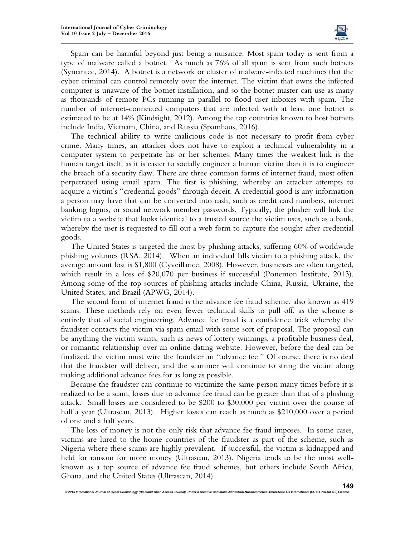

Spam can be harmful beyond just being a nuisance. Most spam today is sent from a type of malware called a botnet. As much as 76% of all spam is sent from such botnets (Symantec, 2014). A botnet is a network or cluster of malware-infected machines that the cyber criminal can control remotely over the internet. The victim that owns the infected computer is unaware of the botnet installation, and so the botnet master can use as many as thousands of remote PCs running in parallel to flood user inboxes with spam. The number of internet-connected computers that are infected with at least one botnet is estimated to be at 14% (Kindsight, 2012). Among the top countries known to host botnets include India, Vietnam, China, and Russia (Spamhaus, 2016).

The technical ability to write malicious code is not necessary to profit from cyber crime. Many times, an attacker does not have to exploit a technical vulnerability in a computer system to perpetrate his or her schemes. Many times the weakest link is the human target itself, as it is easier to socially engineer a human victim than it is to engineer the breach of a security flaw. There are three common forms of internet fraud, most often perpetrated using email spam. The first is phishing, whereby an attacker attempts to acquire a victim's "credential goods" through deceit. A credential good is any information a person may have that can be converted into cash, such as credit card numbers, internet banking logins, or social network member passwords. Typically, the phisher will link the victim to a website that looks identical to a trusted source the victim uses, such as a bank, whereby the user is requested to fill out a web form to capture the sought-after credential goods.

The United States is targeted the most by phishing attacks, suffering 60% of worldwide phishing volumes (RSA, 2014). When an individual falls victim to a phishing attack, the average amount lost is \$1,800 (Cyveillance, 2008). However, businesses are often targeted, which result in a loss of \$20,070 per business if successful (Ponemon Institute, 2013). Among some of the top sources of phishing attacks include China, Russia, Ukraine, the United States, and Brazil (APWG, 2014).

The second form of internet fraud is the advance fee fraud scheme, also known as 419 scams. These methods rely on even fewer technical skills to pull off, as the scheme is entirely that of social engineering. Advance fee fraud is a confidence trick whereby the fraudster contacts the victim via spam email with some sort of proposal. The proposal can be anything the victim wants, such as news of lottery winnings, a profitable business deal, or romantic relationship over an online dating website. However, before the deal can be finalized, the victim must wire the fraudster an "advance fee." Of course, there is no deal that the fraudster will deliver, and the scammer will continue to string the victim along making additional advance fees for as long as possible.

Because the fraudster can continue to victimize the same person many times before it is realized to be a scam, losses due to advance fee fraud can be greater than that of a phishing attack. Small losses are considered to be \$200 to \$30,000 per victim over the course of half a year (Ultrascan, 2013). Higher losses can reach as much as \$210,000 over a period of one and a half years.

The loss of money is not the only risk that advance fee fraud imposes. In some cases, victims are lured to the home countries of the fraudster as part of the scheme, such as Nigeria where these scams are highly prevalent. If successful, the victim is kidnapped and held for ransom for more money (Ultrascan, 2013). Nigeria tends to be the most wellknown as a top source of advance fee fraud schemes, but others include South Africa, Ghana, and the United States (Ultrascan, 2014).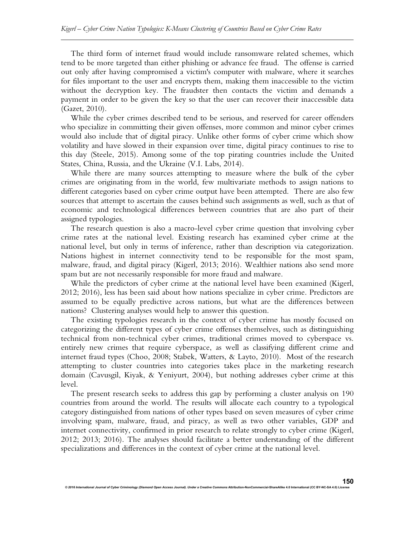The third form of internet fraud would include ransomware related schemes, which tend to be more targeted than either phishing or advance fee fraud. The offense is carried out only after having compromised a victim's computer with malware, where it searches for files important to the user and encrypts them, making them inaccessible to the victim without the decryption key. The fraudster then contacts the victim and demands a payment in order to be given the key so that the user can recover their inaccessible data (Gazet, 2010).

While the cyber crimes described tend to be serious, and reserved for career offenders who specialize in committing their given offenses, more common and minor cyber crimes would also include that of digital piracy. Unlike other forms of cyber crime which show volatility and have slowed in their expansion over time, digital piracy continues to rise to this day (Steele, 2015). Among some of the top pirating countries include the United States, China, Russia, and the Ukraine (V.I. Labs, 2014).

While there are many sources attempting to measure where the bulk of the cyber crimes are originating from in the world, few multivariate methods to assign nations to different categories based on cyber crime output have been attempted. There are also few sources that attempt to ascertain the causes behind such assignments as well, such as that of economic and technological differences between countries that are also part of their assigned typologies.

The research question is also a macro-level cyber crime question that involving cyber crime rates at the national level. Existing research has examined cyber crime at the national level, but only in terms of inference, rather than description via categorization. Nations highest in internet connectivity tend to be responsible for the most spam, malware, fraud, and digital piracy (Kigerl, 2013; 2016). Wealthier nations also send more spam but are not necessarily responsible for more fraud and malware.

While the predictors of cyber crime at the national level have been examined (Kigerl, 2012; 2016), less has been said about how nations specialize in cyber crime. Predictors are assumed to be equally predictive across nations, but what are the differences between nations? Clustering analyses would help to answer this question.

The existing typologies research in the context of cyber crime has mostly focused on categorizing the different types of cyber crime offenses themselves, such as distinguishing technical from non-technical cyber crimes, traditional crimes moved to cyberspace vs. entirely new crimes that require cyberspace, as well as classifying different crime and internet fraud types (Choo, 2008; Stabek, Watters, & Layto, 2010). Most of the research attempting to cluster countries into categories takes place in the marketing research domain (Cavusgil, Kiyak, & Yeniyurt, 2004), but nothing addresses cyber crime at this level.

The present research seeks to address this gap by performing a cluster analysis on 190 countries from around the world. The results will allocate each country to a typological category distinguished from nations of other types based on seven measures of cyber crime involving spam, malware, fraud, and piracy, as well as two other variables, GDP and internet connectivity, confirmed in prior research to relate strongly to cyber crime (Kigerl, 2012; 2013; 2016). The analyses should facilitate a better understanding of the different specializations and differences in the context of cyber crime at the national level.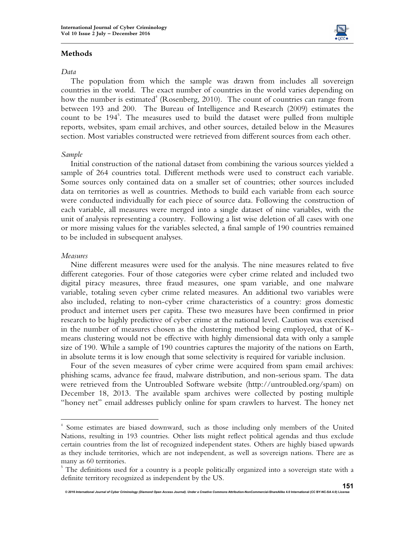

#### **Methods**

#### *Data*

The population from which the sample was drawn from includes all sovereign countries in the world. The exact number of countries in the world varies depending on how the number is estimated<sup>4</sup> (Rosenberg, 2010). The count of countries can range from between 193 and 200. The Bureau of Intelligence and Research (2009) estimates the count to be 194<sup>5</sup>. The measures used to build the dataset were pulled from multiple reports, websites, spam email archives, and other sources, detailed below in the Measures section. Most variables constructed were retrieved from different sources from each other.

#### *Sample*

Initial construction of the national dataset from combining the various sources yielded a sample of 264 countries total. Different methods were used to construct each variable. Some sources only contained data on a smaller set of countries; other sources included data on territories as well as countries. Methods to build each variable from each source were conducted individually for each piece of source data. Following the construction of each variable, all measures were merged into a single dataset of nine variables, with the unit of analysis representing a country. Following a list wise deletion of all cases with one or more missing values for the variables selected, a final sample of 190 countries remained to be included in subsequent analyses.

#### *Measures*

 $\overline{a}$ 

Nine different measures were used for the analysis. The nine measures related to five different categories. Four of those categories were cyber crime related and included two digital piracy measures, three fraud measures, one spam variable, and one malware variable, totaling seven cyber crime related measures. An additional two variables were also included, relating to non-cyber crime characteristics of a country: gross domestic product and internet users per capita. These two measures have been confirmed in prior research to be highly predictive of cyber crime at the national level. Caution was exercised in the number of measures chosen as the clustering method being employed, that of Kmeans clustering would not be effective with highly dimensional data with only a sample size of 190. While a sample of 190 countries captures the majority of the nations on Earth, in absolute terms it is low enough that some selectivity is required for variable inclusion.

Four of the seven measures of cyber crime were acquired from spam email archives: phishing scams, advance fee fraud, malware distribution, and non-serious spam. The data were retrieved from the Untroubled Software website (http://untroubled.org/spam) on December 18, 2013. The available spam archives were collected by posting multiple "honey net" email addresses publicly online for spam crawlers to harvest. The honey net

<sup>4</sup> Some estimates are biased downward, such as those including only members of the United Nations, resulting in 193 countries. Other lists might reflect political agendas and thus exclude certain countries from the list of recognized independent states. Others are highly biased upwards as they include territories, which are not independent, as well as sovereign nations. There are as many as 60 territories.

<sup>&</sup>lt;sup>5</sup> The definitions used for a country is a people politically organized into a sovereign state with a definite territory recognized as independent by the US.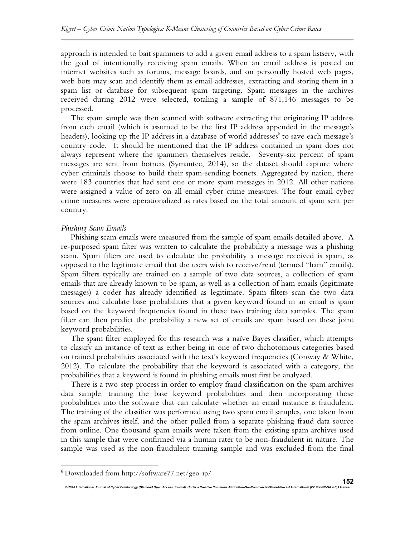approach is intended to bait spammers to add a given email address to a spam listserv, with the goal of intentionally receiving spam emails. When an email address is posted on internet websites such as forums, message boards, and on personally hosted web pages, web bots may scan and identify them as email addresses, extracting and storing them in a spam list or database for subsequent spam targeting. Spam messages in the archives received during 2012 were selected, totaling a sample of 871,146 messages to be processed.

The spam sample was then scanned with software extracting the originating IP address from each email (which is assumed to be the first IP address appended in the message's headers), looking up the IP address in a database of world addresses<sup>6</sup> to save each message's country code. It should be mentioned that the IP address contained in spam does not always represent where the spammers themselves reside. Seventy-six percent of spam messages are sent from botnets (Symantec, 2014), so the dataset should capture where cyber criminals choose to build their spam-sending botnets. Aggregated by nation, there were 183 countries that had sent one or more spam messages in 2012. All other nations were assigned a value of zero on all email cyber crime measures. The four email cyber crime measures were operationalized as rates based on the total amount of spam sent per country.

#### *Phishing Scam Emails*

Phishing scam emails were measured from the sample of spam emails detailed above. A re-purposed spam filter was written to calculate the probability a message was a phishing scam. Spam filters are used to calculate the probability a message received is spam, as opposed to the legitimate email that the users wish to receive/read (termed "ham" emails). Spam filters typically are trained on a sample of two data sources, a collection of spam emails that are already known to be spam, as well as a collection of ham emails (legitimate messages) a coder has already identified as legitimate. Spam filters scan the two data sources and calculate base probabilities that a given keyword found in an email is spam based on the keyword frequencies found in these two training data samples. The spam filter can then predict the probability a new set of emails are spam based on these joint keyword probabilities.

The spam filter employed for this research was a naïve Bayes classifier, which attempts to classify an instance of text as either being in one of two dichotomous categories based on trained probabilities associated with the text's keyword frequencies (Conway & White, 2012). To calculate the probability that the keyword is associated with a category, the probabilities that a keyword is found in phishing emails must first be analyzed.

There is a two-step process in order to employ fraud classification on the spam archives data sample: training the base keyword probabilities and then incorporating those probabilities into the software that can calculate whether an email instance is fraudulent. The training of the classifier was performed using two spam email samples, one taken from the spam archives itself, and the other pulled from a separate phishing fraud data source from online. One thousand spam emails were taken from the existing spam archives used in this sample that were confirmed via a human rater to be non-fraudulent in nature. The sample was used as the non-fraudulent training sample and was excluded from the final

*© 2016 International Journal of Cyber Criminology (Diamond Open Access Journal). Under a Creative Commons* **Attribution-NonCommercial-ShareAlike 4.0 International (CC BY-NC-SA 4.0) License** 

l.

<sup>6</sup> Downloaded from http://software77.net/geo-ip/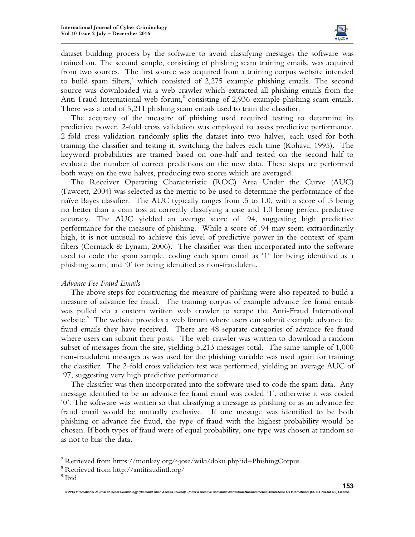

dataset building process by the software to avoid classifying messages the software was trained on. The second sample, consisting of phishing scam training emails, was acquired from two sources. The first source was acquired from a training corpus website intended to build spam filters,<sup>7</sup> which consisted of 2,275 example phishing emails. The second source was downloaded via a web crawler which extracted all phishing emails from the Anti-Fraud International web forum,<sup>8</sup> consisting of 2,936 example phishing scam emails. There was a total of 5,211 phishing scam emails used to train the classifier.

The accuracy of the measure of phishing used required testing to determine its predictive power. 2-fold cross validation was employed to assess predictive performance. 2-fold cross validation randomly splits the dataset into two halves, each used for both training the classifier and testing it, switching the halves each time (Kohavi, 1995). The keyword probabilities are trained based on one-half and tested on the second half to evaluate the number of correct predictions on the new data. These steps are performed both ways on the two halves, producing two scores which are averaged.

The Receiver Operating Characteristic (ROC) Area Under the Curve (AUC) (Fawcett, 2004) was selected as the metric to be used to determine the performance of the naïve Bayes classifier. The AUC typically ranges from .5 to 1.0, with a score of .5 being no better than a coin toss at correctly classifying a case and 1.0 being perfect predictive accuracy. The AUC yielded an average score of .94, suggesting high predictive performance for the measure of phishing. While a score of .94 may seem extraordinarily high, it is not unusual to achieve this level of predictive power in the context of spam filters (Cormack & Lynam, 2006). The classifier was then incorporated into the software used to code the spam sample, coding each spam email as '1' for being identified as a phishing scam, and '0' for being identified as non-fraudulent.

#### *Advance Fee Fraud Emails*

The above steps for constructing the measure of phishing were also repeated to build a measure of advance fee fraud. The training corpus of example advance fee fraud emails was pulled via a custom written web crawler to scrape the Anti-Fraud International website.<sup>9</sup> The website provides a web forum where users can submit example advance fee fraud emails they have received. There are 48 separate categories of advance fee fraud where users can submit their posts. The web crawler was written to download a random subset of messages from the site, yielding 5,213 messages total. The same sample of 1,000 non-fraudulent messages as was used for the phishing variable was used again for training the classifier. The 2-fold cross validation test was performed, yielding an average AUC of .97, suggesting very high predictive performance.

The classifier was then incorporated into the software used to code the spam data. Any message identified to be an advance fee fraud email was coded '1', otherwise it was coded '0'. The software was written so that classifying a message as phishing or as an advance fee fraud email would be mutually exclusive. If one message was identified to be both phishing or advance fee fraud, the type of fraud with the highest probability would be chosen. If both types of fraud were of equal probability, one type was chosen at random so as not to bias the data.

l.

<sup>&</sup>lt;sup>7</sup> Retrieved from https://monkey.org/~jose/wiki/doku.php?id=PhishingCorpus

<sup>8</sup> Retrieved from http://antifraudintl.org/

<sup>&</sup>lt;sup>9</sup> Ibid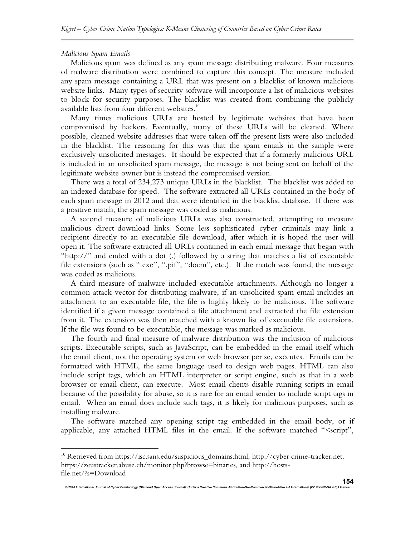#### *Malicious Spam Emails*

 $\overline{a}$ 

Malicious spam was defined as any spam message distributing malware. Four measures of malware distribution were combined to capture this concept. The measure included any spam message containing a URL that was present on a blacklist of known malicious website links. Many types of security software will incorporate a list of malicious websites to block for security purposes. The blacklist was created from combining the publicly available lists from four different websites. $^{\scriptscriptstyle 10}$ 

Many times malicious URLs are hosted by legitimate websites that have been compromised by hackers. Eventually, many of these URLs will be cleaned. Where possible, cleaned website addresses that were taken off the present lists were also included in the blacklist. The reasoning for this was that the spam emails in the sample were exclusively unsolicited messages. It should be expected that if a formerly malicious URL is included in an unsolicited spam message, the message is not being sent on behalf of the legitimate website owner but is instead the compromised version.

There was a total of 234,273 unique URLs in the blacklist. The blacklist was added to an indexed database for speed. The software extracted all URLs contained in the body of each spam message in 2012 and that were identified in the blacklist database. If there was a positive match, the spam message was coded as malicious.

A second measure of malicious URLs was also constructed, attempting to measure malicious direct-download links. Some less sophisticated cyber criminals may link a recipient directly to an executable file download, after which it is hoped the user will open it. The software extracted all URLs contained in each email message that began with "http://" and ended with a dot (.) followed by a string that matches a list of executable file extensions (such as ".exe", ".pif", "docm", etc.). If the match was found, the message was coded as malicious.

A third measure of malware included executable attachments. Although no longer a common attack vector for distributing malware, if an unsolicited spam email includes an attachment to an executable file, the file is highly likely to be malicious. The software identified if a given message contained a file attachment and extracted the file extension from it. The extension was then matched with a known list of executable file extensions. If the file was found to be executable, the message was marked as malicious.

The fourth and final measure of malware distribution was the inclusion of malicious scripts. Executable scripts, such as JavaScript, can be embedded in the email itself which the email client, not the operating system or web browser per se, executes. Emails can be formatted with HTML, the same language used to design web pages. HTML can also include script tags, which an HTML interpreter or script engine, such as that in a web browser or email client, can execute. Most email clients disable running scripts in email because of the possibility for abuse, so it is rare for an email sender to include script tags in email. When an email does include such tags, it is likely for malicious purposes, such as installing malware.

The software matched any opening script tag embedded in the email body, or if applicable, any attached HTML files in the email. If the software matched "<script",

<sup>&</sup>lt;sup>10</sup> Retrieved from https://isc.sans.edu/suspicious\_domains.html, http://cyber crime-tracker.net, https://zeustracker.abuse.ch/monitor.php?browse=binaries, and http://hostsfile.net/?s=Download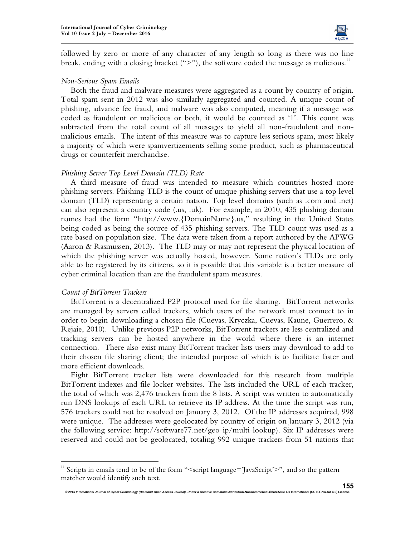

followed by zero or more of any character of any length so long as there was no line break, ending with a closing bracket (">"), the software coded the message as malicious.<sup>11</sup>

#### *Non-Serious Spam Emails*

Both the fraud and malware measures were aggregated as a count by country of origin. Total spam sent in 2012 was also similarly aggregated and counted. A unique count of phishing, advance fee fraud, and malware was also computed, meaning if a message was coded as fraudulent or malicious or both, it would be counted as '1'. This count was subtracted from the total count of all messages to yield all non-fraudulent and nonmalicious emails. The intent of this measure was to capture less serious spam, most likely a majority of which were spamvertizements selling some product, such as pharmaceutical drugs or counterfeit merchandise.

#### *Phishing Server Top Level Domain (TLD) Rate*

A third measure of fraud was intended to measure which countries hosted more phishing servers. Phishing TLD is the count of unique phishing servers that use a top level domain (TLD) representing a certain nation. Top level domains (such as .com and .net) can also represent a country code (.us, .uk). For example, in 2010, 435 phishing domain names had the form "http://www.{DomainName}.us," resulting in the United States being coded as being the source of 435 phishing servers. The TLD count was used as a rate based on population size. The data were taken from a report authored by the APWG (Aaron & Rasmussen, 2013). The TLD may or may not represent the physical location of which the phishing server was actually hosted, however. Some nation's TLDs are only able to be registered by its citizens, so it is possible that this variable is a better measure of cyber criminal location than are the fraudulent spam measures.

#### *Count of BitTorrent Trackers*

l.

BitTorrent is a decentralized P2P protocol used for file sharing. BitTorrent networks are managed by servers called trackers, which users of the network must connect to in order to begin downloading a chosen file (Cuevas, Kryczka, Cuevas, Kaune, Guerrero, & Rejaie, 2010). Unlike previous P2P networks, BitTorrent trackers are less centralized and tracking servers can be hosted anywhere in the world where there is an internet connection. There also exist many BitTorrent tracker lists users may download to add to their chosen file sharing client; the intended purpose of which is to facilitate faster and more efficient downloads.

Eight BitTorrent tracker lists were downloaded for this research from multiple BitTorrent indexes and file locker websites. The lists included the URL of each tracker, the total of which was 2,476 trackers from the 8 lists. A script was written to automatically run DNS lookups of each URL to retrieve its IP address. At the time the script was run, 576 trackers could not be resolved on January 3, 2012. Of the IP addresses acquired, 998 were unique. The addresses were geolocated by country of origin on January 3, 2012 (via the following service: http://software77.net/geo-ip/multi-lookup). Six IP addresses were reserved and could not be geolocated, totaling 992 unique trackers from 51 nations that

<sup>&</sup>lt;sup>11</sup> Scripts in emails tend to be of the form "<script language='JavaScript'>", and so the pattern matcher would identify such text.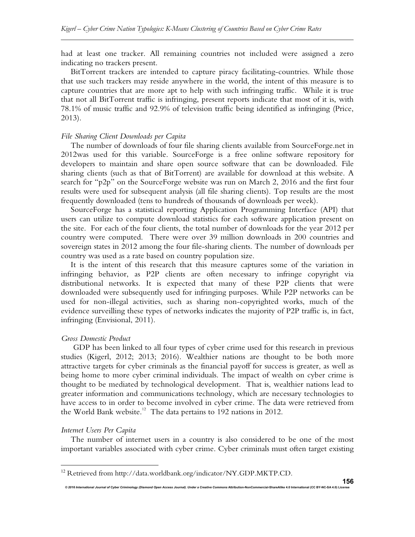had at least one tracker. All remaining countries not included were assigned a zero indicating no trackers present.

BitTorrent trackers are intended to capture piracy facilitating-countries. While those that use such trackers may reside anywhere in the world, the intent of this measure is to capture countries that are more apt to help with such infringing traffic. While it is true that not all BitTorrent traffic is infringing, present reports indicate that most of it is, with 78.1% of music traffic and 92.9% of television traffic being identified as infringing (Price, 2013).

#### *File Sharing Client Downloads per Capita*

The number of downloads of four file sharing clients available from SourceForge.net in 2012was used for this variable. SourceForge is a free online software repository for developers to maintain and share open source software that can be downloaded. File sharing clients (such as that of BitTorrent) are available for download at this website. A search for "p2p" on the SourceForge website was run on March 2, 2016 and the first four results were used for subsequent analysis (all file sharing clients). Top results are the most frequently downloaded (tens to hundreds of thousands of downloads per week).

SourceForge has a statistical reporting Application Programming Interface (API) that users can utilize to compute download statistics for each software application present on the site. For each of the four clients, the total number of downloads for the year 2012 per country were computed. There were over 39 million downloads in 200 countries and sovereign states in 2012 among the four file-sharing clients. The number of downloads per country was used as a rate based on country population size.

It is the intent of this research that this measure captures some of the variation in infringing behavior, as P2P clients are often necessary to infringe copyright via distributional networks. It is expected that many of these P2P clients that were downloaded were subsequently used for infringing purposes. While P2P networks can be used for non-illegal activities, such as sharing non-copyrighted works, much of the evidence surveilling these types of networks indicates the majority of P2P traffic is, in fact, infringing (Envisional, 2011).

#### *Gross Domestic Product*

GDP has been linked to all four types of cyber crime used for this research in previous studies (Kigerl, 2012; 2013; 2016). Wealthier nations are thought to be both more attractive targets for cyber criminals as the financial payoff for success is greater, as well as being home to more cyber criminal individuals. The impact of wealth on cyber crime is thought to be mediated by technological development. That is, wealthier nations lead to greater information and communications technology, which are necessary technologies to have access to in order to become involved in cyber crime. The data were retrieved from the World Bank website.<sup>12</sup> The data pertains to 192 nations in 2012.

#### *Internet Users Per Capita*

l.

The number of internet users in a country is also considered to be one of the most important variables associated with cyber crime. Cyber criminals must often target existing

<sup>&</sup>lt;sup>12</sup> Retrieved from http://data.worldbank.org/indicator/NY.GDP.MKTP.CD.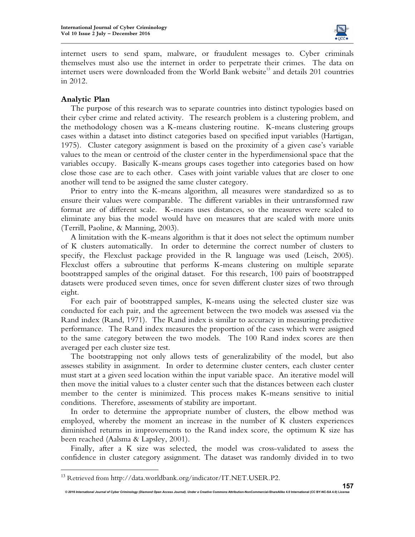

internet users to send spam, malware, or fraudulent messages to. Cyber criminals themselves must also use the internet in order to perpetrate their crimes. The data on internet users were downloaded from the World Bank website<sup>13</sup> and details 201 countries in 2012.

#### **Analytic Plan**

l.

The purpose of this research was to separate countries into distinct typologies based on their cyber crime and related activity. The research problem is a clustering problem, and the methodology chosen was a K-means clustering routine. K-means clustering groups cases within a dataset into distinct categories based on specified input variables (Hartigan, 1975). Cluster category assignment is based on the proximity of a given case's variable values to the mean or centroid of the cluster center in the hyperdimensional space that the variables occupy. Basically K-means groups cases together into categories based on how close those case are to each other. Cases with joint variable values that are closer to one another will tend to be assigned the same cluster category.

Prior to entry into the K-means algorithm, all measures were standardized so as to ensure their values were comparable. The different variables in their untransformed raw format are of different scale. K-means uses distances, so the measures were scaled to eliminate any bias the model would have on measures that are scaled with more units (Terrill, Paoline, & Manning, 2003).

A limitation with the K-means algorithm is that it does not select the optimum number of K clusters automatically. In order to determine the correct number of clusters to specify, the Flexclust package provided in the R language was used (Leisch, 2005). Flexclust offers a subroutine that performs K-means clustering on multiple separate bootstrapped samples of the original dataset. For this research, 100 pairs of bootstrapped datasets were produced seven times, once for seven different cluster sizes of two through eight.

For each pair of bootstrapped samples, K-means using the selected cluster size was conducted for each pair, and the agreement between the two models was assessed via the Rand index (Rand, 1971). The Rand index is similar to accuracy in measuring predictive performance. The Rand index measures the proportion of the cases which were assigned to the same category between the two models. The 100 Rand index scores are then averaged per each cluster size test.

The bootstrapping not only allows tests of generalizability of the model, but also assesses stability in assignment. In order to determine cluster centers, each cluster center must start at a given seed location within the input variable space. An iterative model will then move the initial values to a cluster center such that the distances between each cluster member to the center is minimized. This process makes K-means sensitive to initial conditions. Therefore, assessments of stability are important.

In order to determine the appropriate number of clusters, the elbow method was employed, whereby the moment an increase in the number of K clusters experiences diminished returns in improvements to the Rand index score, the optimum K size has been reached (Aalsma & Lapsley, 2001).

Finally, after a K size was selected, the model was cross-validated to assess the confidence in cluster category assignment. The dataset was randomly divided in to two

<sup>&</sup>lt;sup>13</sup> Retrieved from http://data.worldbank.org/indicator/IT.NET.USER.P2.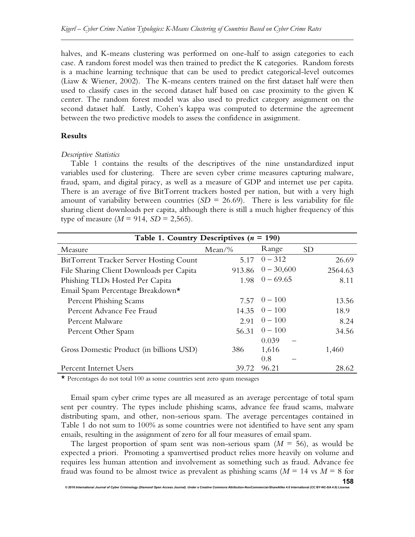halves, and K-means clustering was performed on one-half to assign categories to each case. A random forest model was then trained to predict the K categories. Random forests is a machine learning technique that can be used to predict categorical-level outcomes (Liaw & Wiener, 2002). The K-means centers trained on the first dataset half were then used to classify cases in the second dataset half based on case proximity to the given K center. The random forest model was also used to predict category assignment on the second dataset half. Lastly, Cohen's kappa was computed to determine the agreement between the two predictive models to assess the confidence in assignment.

#### **Results**

#### *Descriptive Statistics*

Table 1 contains the results of the descriptives of the nine unstandardized input variables used for clustering. There are seven cyber crime measures capturing malware, fraud, spam, and digital piracy, as well as a measure of GDP and internet use per capita. There is an average of five BitTorrent trackers hosted per nation, but with a very high amount of variability between countries  $(SD = 26.69)$ . There is less variability for file sharing client downloads per capita, although there is still a much higher frequency of this type of measure  $(M = 914, SD = 2,565)$ .

| Table 1. Country Descriptives ( $n = 190$ ) |          |                           |           |
|---------------------------------------------|----------|---------------------------|-----------|
| Measure                                     | $Mean\%$ | Range                     | <b>SD</b> |
| BitTorrent Tracker Server Hosting Count     | 5.17     | $0 - 312$                 | 26.69     |
| File Sharing Client Downloads per Capita    |          | $913.86 \quad 0 - 30,600$ | 2564.63   |
| Phishing TLDs Hosted Per Capita             |          | $1.98 \quad 0 - 69.65$    | 8.11      |
| Email Spam Percentage Breakdown*            |          |                           |           |
| <b>Percent Phishing Scams</b>               |          | $7.57 \quad 0-100$        | 13.56     |
| Percent Advance Fee Fraud                   |          | $14.35 \t 0 - 100$        | 18.9      |
| Percent Malware                             | 2.91     | $0 - 100$                 | 8.24      |
| Percent Other Spam                          |          | $56.31 \quad 0-100$       | 34.56     |
|                                             |          | 0.039                     |           |
| Gross Domestic Product (in billions USD)    | 386      | 1,616                     | 1,460     |
|                                             |          | 0.8                       |           |
| Percent Internet Users                      | 39.72    | 96.21                     | 28.62     |

\* Percentages do not total 100 as some countries sent zero spam messages

Email spam cyber crime types are all measured as an average percentage of total spam sent per country. The types include phishing scams, advance fee fraud scams, malware distributing spam, and other, non-serious spam. The average percentages contained in Table 1 do not sum to 100% as some countries were not identified to have sent any spam emails, resulting in the assignment of zero for all four measures of email spam.

The largest proportion of spam sent was non-serious spam  $(M = 56)$ , as would be expected a priori. Promoting a spamvertised product relies more heavily on volume and requires less human attention and involvement as something such as fraud. Advance fee fraud was found to be almost twice as prevalent as phishing scams ( $M = 14$  vs  $M = 8$  for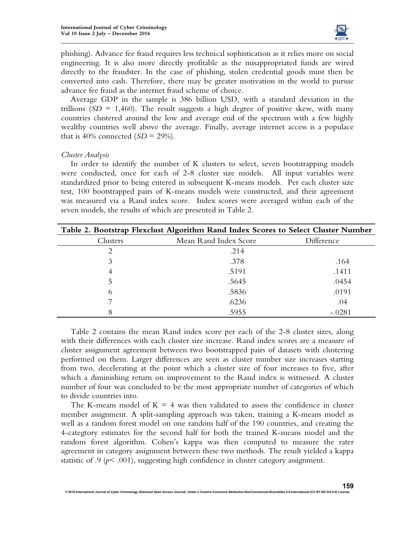

phishing). Advance fee fraud requires less technical sophistication as it relies more on social engineering. It is also more directly profitable as the misappropriated funds are wired directly to the fraudster. In the case of phishing, stolen credential goods must then be converted into cash. Therefore, there may be greater motivation in the world to pursue advance fee fraud as the internet fraud scheme of choice.

Average GDP in the sample is 386 billion USD, with a standard deviation in the trillions  $(SD = 1,460)$ . The result suggests a high degree of positive skew, with many countries clustered around the low and average end of the spectrum with a few highly wealthy countries well above the average. Finally, average internet access is a populace that is 40% connected  $(SD = 29$ %).

#### *Cluster Analysis*

In order to identify the number of K clusters to select, seven bootstrapping models were conducted, once for each of 2-8 cluster size models. All input variables were standardized prior to being entered in subsequent K-means models. Per each cluster size test, 100 bootstrapped pairs of K-means models were constructed, and their agreement was measured via a Rand index score. Index scores were averaged within each of the seven models, the results of which are presented in Table 2.

| Table 2. Bootstrap Flexclust Algorithm Rand Index Scores to Select Cluster Number |                       |            |  |
|-----------------------------------------------------------------------------------|-----------------------|------------|--|
| Clusters                                                                          | Mean Rand Index Score | Difference |  |
| 2                                                                                 | .214                  |            |  |
| 3                                                                                 | .378                  | .164       |  |
| 4                                                                                 | .5191                 | .1411      |  |
| 5                                                                                 | .5645                 | .0454      |  |
| 6                                                                                 | .5836                 | .0191      |  |
|                                                                                   | .6236                 | .04        |  |
| 8                                                                                 | .5955                 | $-.0281$   |  |

Table 2 contains the mean Rand index score per each of the 2-8 cluster sizes, along with their differences with each cluster size increase. Rand index scores are a measure of cluster assignment agreement between two bootstrapped pairs of datasets with clustering performed on them. Larger differences are seen as cluster number size increases starting from two, decelerating at the point which a cluster size of four increases to five, after which a diminishing return on improvement to the Rand index is witnessed. A cluster number of four was concluded to be the most appropriate number of categories of which to divide countries into.

The K-means model of  $K = 4$  was then validated to assess the confidence in cluster member assignment. A split-sampling approach was taken, training a K-means model as well as a random forest model on one random half of the 190 countries, and creating the 4-categtory estimates for the second half for both the trained K-means model and the random forest algorithm. Cohen's kappa was then computed to measure the rater agreement in category assignment between these two methods. The result yielded a kappa statistic of .9 ( $p$ < .001), suggesting high confidence in cluster category assignment.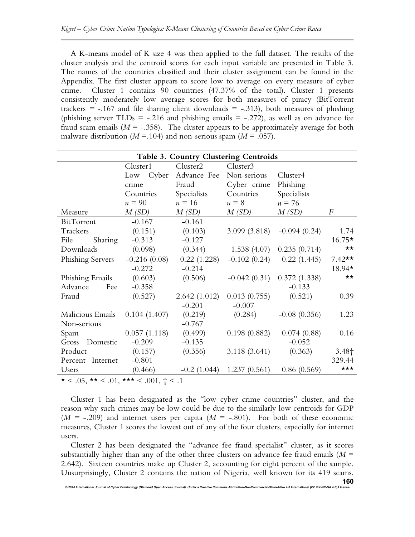A K-means model of K size 4 was then applied to the full dataset. The results of the cluster analysis and the centroid scores for each input variable are presented in Table 3. The names of the countries classified and their cluster assignment can be found in the Appendix. The first cluster appears to score low to average on every measure of cyber crime. Cluster 1 contains 90 countries (47.37% of the total). Cluster 1 presents consistently moderately low average scores for both measures of piracy (BitTorrent trackers  $=$  -.167 and file sharing client downloads  $=$  -.313), both measures of phishing (phishing server TLDs =  $-.216$  and phishing emails =  $-.272$ ), as well as on advance fee fraud scam emails  $(M = -.358)$ . The cluster appears to be approximately average for both malware distribution ( $M = 104$ ) and non-serious spam ( $M = 0.057$ ).

| Table 3. Country Clustering Centroids |                |                |                |                              |                   |
|---------------------------------------|----------------|----------------|----------------|------------------------------|-------------------|
|                                       | Cluster1       | Cluster2       | Cluster3       |                              |                   |
|                                       | Cyber<br>Low   | Advance Fee    | Non-serious    | Cluster4                     |                   |
|                                       | crime          | Fraud          | Cyber crime    | Phishing                     |                   |
|                                       | Countries      | Specialists    | Countries      | Specialists                  |                   |
|                                       | $n = 90$       | $n = 16$       | $n = 8$        | $n = 76$                     |                   |
| Measure                               | M(SD)          | M(SD)          | M(SD)          | M(SD)                        | F                 |
| BitTorrent                            | $-0.167$       | $-0.161$       |                |                              |                   |
| Trackers                              | (0.151)        | (0.103)        | 3.099(3.818)   | $-0.094(0.24)$               | 1.74              |
| Sharing<br>File                       | $-0.313$       | $-0.127$       |                |                              | $16.75*$          |
| Downloads                             | (0.098)        | (0.344)        | 1.538(4.07)    | 0.235(0.714)                 | $\star\star$      |
| Phishing Servers                      | $-0.216(0.08)$ | 0.22(1.228)    | $-0.102(0.24)$ | 0.22(1.445)                  | $7.42**$          |
|                                       | $-0.272$       | $-0.214$       |                |                              | 18.94*            |
| Phishing Emails                       | (0.603)        | (0.506)        |                | $-0.042(0.31)$ 0.372 (1.338) | $\star\star$      |
| Advance<br>Fee                        | $-0.358$       |                |                | $-0.133$                     |                   |
| Fraud                                 | (0.527)        | 2.642(1.012)   | 0.013(0.755)   | (0.521)                      | 0.39              |
|                                       |                | $-0.201$       | $-0.007$       |                              |                   |
| Malicious Emails                      | 0.104(1.407)   | (0.219)        | (0.284)        | $-0.08(0.356)$               | 1.23              |
| Non-serious                           |                | $-0.767$       |                |                              |                   |
| Spam                                  | 0.057(1.118)   | (0.499)        | 0.198(0.882)   | 0.074(0.88)                  | 0.16              |
| Gross<br>Domestic                     | $-0.209$       | $-0.135$       |                | $-0.052$                     |                   |
| Product                               | (0.157)        | (0.356)        | 3.118(3.641)   | (0.363)                      | 3.48 <sub>†</sub> |
| Percent Internet                      | $-0.801$       |                |                |                              | 329.44            |
| Users                                 | (0.466)        | $-0.2$ (1.044) | 1.237(0.561)   | 0.86(0.569)                  | $\star\star\star$ |

 $\star$  < .05,  $\star \star$  < .01,  $\star \star \star$  < .001,  $\dagger$  < .1

Cluster 1 has been designated as the "low cyber crime countries" cluster, and the reason why such crimes may be low could be due to the similarly low centroids for GDP  $(M = -0.209)$  and internet users per capita  $(M = -0.801)$ . For both of these economic measures, Cluster 1 scores the lowest out of any of the four clusters, especially for internet users.

Cluster 2 has been designated the "advance fee fraud specialist" cluster, as it scores substantially higher than any of the other three clusters on advance fee fraud emails  $(M =$ 2.642). Sixteen countries make up Cluster 2, accounting for eight percent of the sample. Unsurprisingly, Cluster 2 contains the nation of Nigeria, well known for its 419 scams.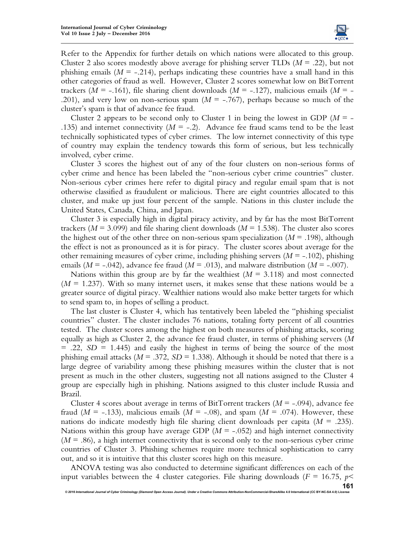

Refer to the Appendix for further details on which nations were allocated to this group. Cluster 2 also scores modestly above average for phishing server TLDs  $(M = .22)$ , but not phishing emails  $(M = -0.214)$ , perhaps indicating these countries have a small hand in this other categories of fraud as well. However, Cluster 2 scores somewhat low on BitTorrent trackers ( $M = -161$ ), file sharing client downloads ( $M = -127$ ), malicious emails ( $M = -161$ ) .201), and very low on non-serious spam ( $M = -0.767$ ), perhaps because so much of the cluster's spam is that of advance fee fraud.

Cluster 2 appears to be second only to Cluster 1 in being the lowest in GDP ( $M = -$ .135) and internet connectivity  $(M = -.2)$ . Advance fee fraud scams tend to be the least technically sophisticated types of cyber crimes. The low internet connectivity of this type of country may explain the tendency towards this form of serious, but less technically involved, cyber crime.

Cluster 3 scores the highest out of any of the four clusters on non-serious forms of cyber crime and hence has been labeled the "non-serious cyber crime countries" cluster. Non-serious cyber crimes here refer to digital piracy and regular email spam that is not otherwise classified as fraudulent or malicious. There are eight countries allocated to this cluster, and make up just four percent of the sample. Nations in this cluster include the United States, Canada, China, and Japan.

Cluster 3 is especially high in digital piracy activity, and by far has the most BitTorrent trackers ( $M = 3.099$ ) and file sharing client downloads ( $M = 1.538$ ). The cluster also scores the highest out of the other three on non-serious spam specialization  $(M = .198)$ , although the effect is not as pronounced as it is for piracy. The cluster scores about average for the other remaining measures of cyber crime, including phishing servers  $(M = -102)$ , phishing emails ( $M = -0.042$ ), advance fee fraud ( $M = 0.013$ ), and malware distribution ( $M = -0.007$ ).

Nations within this group are by far the wealthiest  $(M = 3.118)$  and most connected  $(M = 1.237)$ . With so many internet users, it makes sense that these nations would be a greater source of digital piracy. Wealthier nations would also make better targets for which to send spam to, in hopes of selling a product.

The last cluster is Cluster 4, which has tentatively been labeled the "phishing specialist countries" cluster. The cluster includes 76 nations, totaling forty percent of all countries tested. The cluster scores among the highest on both measures of phishing attacks, scoring equally as high as Cluster 2, the advance fee fraud cluster, in terms of phishing servers (*M*  $= .22, SD = 1.445$  and easily the highest in terms of being the source of the most phishing email attacks ( $M = .372$ ,  $SD = 1.338$ ). Although it should be noted that there is a large degree of variability among these phishing measures within the cluster that is not present as much in the other clusters, suggesting not all nations assigned to the Cluster 4 group are especially high in phishing. Nations assigned to this cluster include Russia and Brazil.

Cluster 4 scores about average in terms of BitTorrent trackers (*M* = -.094), advance fee fraud ( $M = -133$ ), malicious emails ( $M = -0.08$ ), and spam ( $M = 0.074$ ). However, these nations do indicate modestly high file sharing client downloads per capita (*M* = .235). Nations within this group have average GDP  $(M = -.052)$  and high internet connectivity  $(M = .86)$ , a high internet connectivity that is second only to the non-serious cyber crime countries of Cluster 3. Phishing schemes require more technical sophistication to carry out, and so it is intuitive that this cluster scores high on this measure.

ANOVA testing was also conducted to determine significant differences on each of the input variables between the 4 cluster categories. File sharing downloads ( $F = 16.75$ ,  $p \le$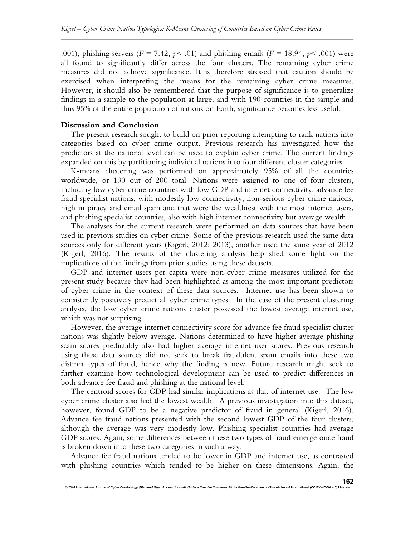.001), phishing servers ( $F = 7.42$ ,  $p < .01$ ) and phishing emails ( $F = 18.94$ ,  $p < .001$ ) were all found to significantly differ across the four clusters. The remaining cyber crime measures did not achieve significance. It is therefore stressed that caution should be exercised when interpreting the means for the remaining cyber crime measures. However, it should also be remembered that the purpose of significance is to generalize findings in a sample to the population at large, and with 190 countries in the sample and thus 95% of the entire population of nations on Earth, significance becomes less useful.

#### **Discussion and Conclusion**

The present research sought to build on prior reporting attempting to rank nations into categories based on cyber crime output. Previous research has investigated how the predictors at the national level can be used to explain cyber crime. The current findings expanded on this by partitioning individual nations into four different cluster categories.

K-means clustering was performed on approximately 95% of all the countries worldwide, or 190 out of 200 total. Nations were assigned to one of four clusters, including low cyber crime countries with low GDP and internet connectivity, advance fee fraud specialist nations, with modestly low connectivity; non-serious cyber crime nations, high in piracy and email spam and that were the wealthiest with the most internet users, and phishing specialist countries, also with high internet connectivity but average wealth.

The analyses for the current research were performed on data sources that have been used in previous studies on cyber crime. Some of the previous research used the same data sources only for different years (Kigerl, 2012; 2013), another used the same year of 2012 (Kigerl, 2016). The results of the clustering analysis help shed some light on the implications of the findings from prior studies using these datasets.

GDP and internet users per capita were non-cyber crime measures utilized for the present study because they had been highlighted as among the most important predictors of cyber crime in the context of these data sources. Internet use has been shown to consistently positively predict all cyber crime types. In the case of the present clustering analysis, the low cyber crime nations cluster possessed the lowest average internet use, which was not surprising.

However, the average internet connectivity score for advance fee fraud specialist cluster nations was slightly below average. Nations determined to have higher average phishing scam scores predictably also had higher average internet user scores. Previous research using these data sources did not seek to break fraudulent spam emails into these two distinct types of fraud, hence why the finding is new. Future research might seek to further examine how technological development can be used to predict differences in both advance fee fraud and phishing at the national level.

The centroid scores for GDP had similar implications as that of internet use. The low cyber crime cluster also had the lowest wealth. A previous investigation into this dataset, however, found GDP to be a negative predictor of fraud in general (Kigerl, 2016). Advance fee fraud nations presented with the second lowest GDP of the four clusters, although the average was very modestly low. Phishing specialist countries had average GDP scores. Again, some differences between these two types of fraud emerge once fraud is broken down into these two categories in such a way.

Advance fee fraud nations tended to be lower in GDP and internet use, as contrasted with phishing countries which tended to be higher on these dimensions. Again, the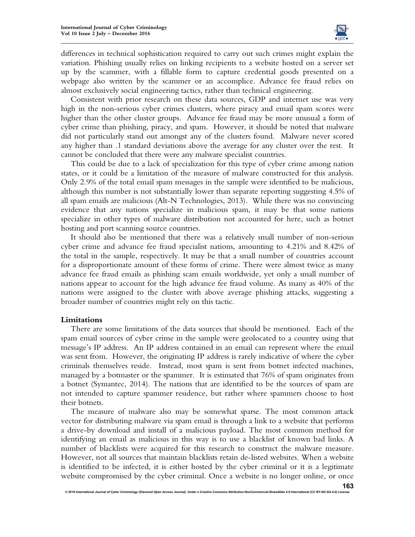

differences in technical sophistication required to carry out such crimes might explain the variation. Phishing usually relies on linking recipients to a website hosted on a server set up by the scammer, with a fillable form to capture credential goods presented on a webpage also written by the scammer or an accomplice. Advance fee fraud relies on almost exclusively social engineering tactics, rather than technical engineering.

Consistent with prior research on these data sources, GDP and internet use was very high in the non-serious cyber crimes clusters, where piracy and email spam scores were higher than the other cluster groups. Advance fee fraud may be more unusual a form of cyber crime than phishing, piracy, and spam. However, it should be noted that malware did not particularly stand out amongst any of the clusters found. Malware never scored any higher than .1 standard deviations above the average for any cluster over the rest. It cannot be concluded that there were any malware specialist countries.

This could be due to a lack of specialization for this type of cyber crime among nation states, or it could be a limitation of the measure of malware constructed for this analysis. Only 2.9% of the total email spam messages in the sample were identified to be malicious, although this number is not substantially lower than separate reporting suggesting 4.5% of all spam emails are malicious (Alt-N Technologies, 2013). While there was no convincing evidence that any nations specialize in malicious spam, it may be that some nations specialize in other types of malware distribution not accounted for here, such as botnet hosting and port scanning source countries.

It should also be mentioned that there was a relatively small number of non-serious cyber crime and advance fee fraud specialist nations, amounting to 4.21% and 8.42% of the total in the sample, respectively. It may be that a small number of countries account for a disproportionate amount of these forms of crime. There were almost twice as many advance fee fraud emails as phishing scam emails worldwide, yet only a small number of nations appear to account for the high advance fee fraud volume. As many as 40% of the nations were assigned to the cluster with above average phishing attacks, suggesting a broader number of countries might rely on this tactic.

#### **Limitations**

There are some limitations of the data sources that should be mentioned. Each of the spam email sources of cyber crime in the sample were geolocated to a country using that message's IP address. An IP address contained in an email can represent where the email was sent from. However, the originating IP address is rarely indicative of where the cyber criminals themselves reside. Instead, most spam is sent from botnet infected machines, managed by a botmaster or the spammer. It is estimated that 76% of spam originates from a botnet (Symantec, 2014). The nations that are identified to be the sources of spam are not intended to capture spammer residence, but rather where spammers choose to host their botnets.

The measure of malware also may be somewhat sparse. The most common attack vector for distributing malware via spam email is through a link to a website that performs a drive-by download and install of a malicious payload. The most common method for identifying an email as malicious in this way is to use a blacklist of known bad links. A number of blacklists were acquired for this research to construct the malware measure. However, not all sources that maintain blacklists retain de-listed websites. When a website is identified to be infected, it is either hosted by the cyber criminal or it is a legitimate website compromised by the cyber criminal. Once a website is no longer online, or once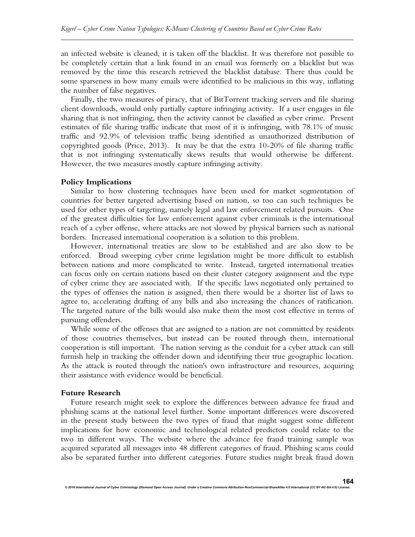an infected website is cleaned, it is taken off the blacklist. It was therefore not possible to be completely certain that a link found in an email was formerly on a blacklist but was removed by the time this research retrieved the blacklist database. There thus could be some sparseness in how many emails were identified to be malicious in this way, inflating the number of false negatives.

Finally, the two measures of piracy, that of BitTorrent tracking servers and file sharing client downloads, would only partially capture infringing activity. If a user engages in file sharing that is not infringing, then the activity cannot be classified as cyber crime. Present estimates of file sharing traffic indicate that most of it is infringing, with 78.1% of music traffic and 92.9% of television traffic being identified as unauthorized distribution of copyrighted goods (Price, 2013). It may be that the extra 10-20% of file sharing traffic that is not infringing systematically skews results that would otherwise be different. However, the two measures mostly capture infringing activity.

#### **Policy Implications**

Similar to how clustering techniques have been used for market segmentation of countries for better targeted advertising based on nation, so too can such techniques be used for other types of targeting, namely legal and law enforcement related pursuits. One of the greatest difficulties for law enforcement against cyber criminals is the international reach of a cyber offense, where attacks are not slowed by physical barriers such as national borders. Increased international cooperation is a solution to this problem.

However, international treaties are slow to be established and are also slow to be enforced. Broad sweeping cyber crime legislation might be more difficult to establish between nations and more complicated to write. Instead, targeted international treaties can focus only on certain nations based on their cluster category assignment and the type of cyber crime they are associated with. If the specific laws negotiated only pertained to the types of offenses the nation is assigned, then there would be a shorter list of laws to agree to, accelerating drafting of any bills and also increasing the chances of ratification. The targeted nature of the bills would also make them the most cost effective in terms of pursuing offenders.

While some of the offenses that are assigned to a nation are not committed by residents of those countries themselves, but instead can be routed through them, international cooperation is still important. The nation serving as the conduit for a cyber attack can still furnish help in tracking the offender down and identifying their true geographic location. As the attack is routed through the nation's own infrastructure and resources, acquiring their assistance with evidence would be beneficial.

#### **Future Research**

Future research might seek to explore the differences between advance fee fraud and phishing scams at the national level further. Some important differences were discovered in the present study between the two types of fraud that might suggest some different implications for how economic and technological related predictors could relate to the two in different ways. The website where the advance fee fraud training sample was acquired separated all messages into 48 different categories of fraud. Phishing scams could also be separated further into different categories. Future studies might break fraud down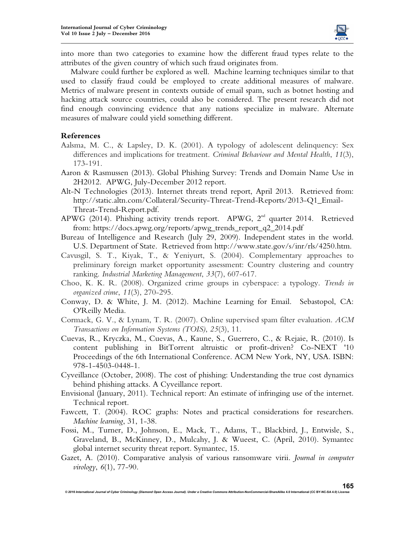

into more than two categories to examine how the different fraud types relate to the attributes of the given country of which such fraud originates from.

Malware could further be explored as well. Machine learning techniques similar to that used to classify fraud could be employed to create additional measures of malware. Metrics of malware present in contexts outside of email spam, such as botnet hosting and hacking attack source countries, could also be considered. The present research did not find enough convincing evidence that any nations specialize in malware. Alternate measures of malware could yield something different.

#### **References**

- Aalsma, M. C., & Lapsley, D. K. (2001). A typology of adolescent delinquency: Sex differences and implications for treatment. *Criminal Behaviour and Mental Health*, *11*(3), 173-191.
- Aaron & Rasmussen (2013). Global Phishing Survey: Trends and Domain Name Use in 2H2012. APWG, July-December 2012 report.
- Alt-N Technologies (2013). Internet threats trend report, April 2013. Retrieved from: http://static.altn.com/Collateral/Security-Threat-Trend-Reports/2013-Q1\_Email-Threat-Trend-Report.pdf.
- APWG (2014). Phishing activity trends report. APWG, 2<sup>nd</sup> quarter 2014. Retrieved from: https://docs.apwg.org/reports/apwg\_trends\_report\_q2\_2014.pdf
- Bureau of Intelligence and Research (July 29, 2009). Independent states in the world. U.S. Department of State. Retrieved from http://www.state.gov/s/inr/rls/4250.htm.
- Cavusgil, S. T., Kiyak, T., & Yeniyurt, S. (2004). Complementary approaches to preliminary foreign market opportunity assessment: Country clustering and country ranking. *Industrial Marketing Management*, *33*(7), 607-617.
- Choo, K. K. R. (2008). Organized crime groups in cyberspace: a typology. *Trends in organized crime*, *11*(3), 270-295.
- Conway, D. & White, J. M. (2012). Machine Learning for Email. Sebastopol, CA: O'Reilly Media.
- Cormack, G. V., & Lynam, T. R. (2007). Online supervised spam filter evaluation. *ACM Transactions on Information Systems (TOIS)*, *25*(3), 11.
- Cuevas, R., Kryczka, M., Cuevas, A., Kaune, S., Guerrero, C., & Rejaie, R. (2010). Is content publishing in BitTorrent altruistic or profit-driven? Co-NEXT '10 Proceedings of the 6th International Conference. ACM New York, NY, USA. ISBN: 978-1-4503-0448-1.
- Cyveillance (October, 2008). The cost of phishing: Understanding the true cost dynamics behind phishing attacks. A Cyveillance report.
- Envisional (January, 2011). Technical report: An estimate of infringing use of the internet. Technical report.
- Fawcett, T. (2004). ROC graphs: Notes and practical considerations for researchers. *Machine learning*, 31, 1-38.
- Fossi, M., Turner, D., Johnson, E., Mack, T., Adams, T., Blackbird, J., Entwisle, S., Graveland, B., McKinney, D., Mulcahy, J. & Wueest, C. (April, 2010). Symantec global internet security threat report. Symantec, 15.
- Gazet, A. (2010). Comparative analysis of various ransomware virii. *Journal in computer virology*, *6*(1), 77-90.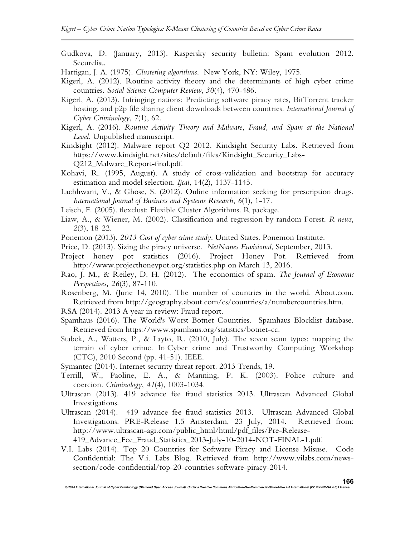Gudkova, D. (January, 2013). Kaspersky security bulletin: Spam evolution 2012. Securelist.

Hartigan, J. A. (1975). *Clustering algorithms*. New York, NY: Wiley, 1975.

- Kigerl, A. (2012). Routine activity theory and the determinants of high cyber crime countries. *Social Science Computer Review*, *30*(4), 470-486.
- Kigerl, A. (2013). Infringing nations: Predicting software piracy rates, BitTorrent tracker hosting, and p2p file sharing client downloads between countries. *International Journal of Cyber Criminology*, *7*(1), 62.
- Kigerl, A. (2016). *Routine Activity Theory and Malware, Fraud, and Spam at the National Level*. Unpublished manuscript.
- Kindsight (2012). Malware report Q2 2012. Kindsight Security Labs. Retrieved from https://www.kindsight.net/sites/default/files/Kindsight\_Security\_Labs-Q212\_Malware\_Report-final.pdf.
- Kohavi, R. (1995, August). A study of cross-validation and bootstrap for accuracy estimation and model selection. *Ijcai,* 14(2), 1137-1145.
- Lachhwani, V., & Ghose, S. (2012). Online information seeking for prescription drugs. *International Journal of Business and Systems Research*, *6*(1), 1-17.
- Leisch, F. (2005). flexclust: Flexible Cluster Algorithms. R package.
- Liaw, A., & Wiener, M. (2002). Classification and regression by random Forest. *R news*, *2*(3), 18-22.
- Ponemon (2013). *2013 Cost of cyber crime study*. United States. Ponemon Institute.
- Price, D. (2013). Sizing the piracy universe. *NetNames Envisional*, September, 2013.
- Project honey pot statistics (2016). Project Honey Pot. Retrieved from http://www.projecthoneypot.org/statistics.php on March 13, 2016.
- Rao, J. M., & Reiley, D. H. (2012). The economics of spam. *The Journal of Economic Perspectives, 26*(3), 87-110.
- Rosenberg, M. (June 14, 2010). The number of countries in the world. About.com. Retrieved from http://geography.about.com/cs/countries/a/numbercountries.htm.
- RSA (2014). 2013 A year in review: Fraud report.
- Spamhaus (2016). The World's Worst Botnet Countries. Spamhaus Blocklist database. Retrieved from https://www.spamhaus.org/statistics/botnet-cc.
- Stabek, A., Watters, P., & Layto, R. (2010, July). The seven scam types: mapping the terrain of cyber crime. In Cyber crime and Trustworthy Computing Workshop (CTC), 2010 Second (pp. 41-51). IEEE.
- Symantec (2014). Internet security threat report. 2013 Trends, 19.
- Terrill, W., Paoline, E. A., & Manning, P. K. (2003). Police culture and coercion. *Criminology*, *41*(4), 1003-1034.
- Ultrascan (2013). 419 advance fee fraud statistics 2013. Ultrascan Advanced Global Investigations.
- Ultrascan (2014). 419 advance fee fraud statistics 2013. Ultrascan Advanced Global Investigations. PRE-Release 1.5 Amsterdam, 23 July, 2014. Retrieved from: http://www.ultrascan-agi.com/public\_html/html/pdf\_files/Pre-Release-419\_Advance\_Fee\_Fraud\_Statistics\_2013-July-10-2014-NOT-FINAL-1.pdf.
- V.I. Labs (2014). Top 20 Countries for Software Piracy and License Misuse. Code Confidential: The V.i. Labs Blog. Retrieved from http://www.vilabs.com/newssection/code-confidential/top-20-countries-software-piracy-2014.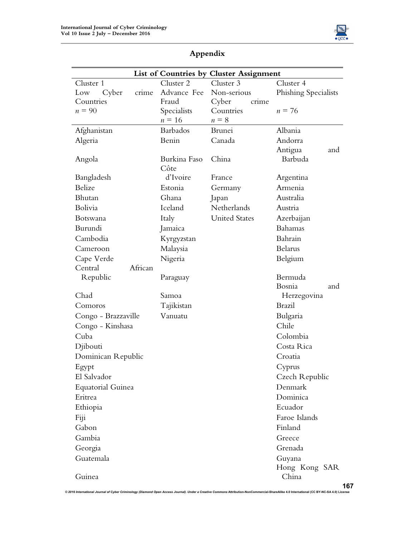

| Cluster 1             | Cluster 2            | List of Countries by Cluster Assignment<br>Cluster 3 | Cluster 4              |
|-----------------------|----------------------|------------------------------------------------------|------------------------|
| crime<br>Cyber<br>Low | Advance Fee          | Non-serious                                          | Phishing Specialists   |
| Countries             | Fraud                | Cyber<br>crime                                       |                        |
| $n = 90$              | Specialists          | Countries                                            | $n = 76$               |
|                       | $n\equiv 16$         | $n = 8$                                              |                        |
| Afghanistan           | <b>Barbados</b>      | Brunei                                               | Albania                |
| Algeria               | Benin                | Canada                                               | Andorra                |
|                       |                      |                                                      | Antigua<br>and         |
| Angola                | Burkina Faso<br>Côte | China                                                | Barbuda                |
| Bangladesh            | d'Ivoire             | France                                               | Argentina              |
| Belize                | Estonia              | Germany                                              | Armenia                |
| Bhutan                | Ghana                | Japan                                                | Australia              |
| Bolivia               | Iceland              | Netherlands                                          | Austria                |
| Botswana              | Italy                | <b>United States</b>                                 | Azerbaijan             |
| Burundi               | Jamaica              |                                                      | Bahamas                |
| Cambodia              | Kyrgyzstan           |                                                      | Bahrain                |
| Cameroon              | Malaysia             |                                                      | <b>Belarus</b>         |
| Cape Verde            | Nigeria              |                                                      | Belgium                |
| African<br>Central    |                      |                                                      |                        |
| Republic              | Paraguay             |                                                      | Bermuda                |
|                       |                      |                                                      | Bosnia<br>and          |
| Chad                  | Samoa                |                                                      | Herzegovina            |
| Comoros               | Tajikistan           |                                                      | <b>Brazil</b>          |
| Congo - Brazzaville   | Vanuatu              |                                                      | Bulgaria               |
| Congo - Kinshasa      |                      |                                                      | Chile                  |
| Cuba                  |                      |                                                      | Colombia               |
| Djibouti              |                      |                                                      | Costa Rica             |
| Dominican Republic    |                      |                                                      | Croatia                |
| Egypt                 |                      |                                                      | Cyprus                 |
| El Salvador           |                      |                                                      | Czech Republic         |
| Equatorial Guinea     |                      |                                                      | Denmark                |
| Eritrea               |                      |                                                      | Dominica               |
| Ethiopia              |                      |                                                      | Ecuador                |
| Fiji                  |                      |                                                      | Faroe Islands          |
| Gabon                 |                      |                                                      | Finland                |
| Gambia                |                      |                                                      | Greece                 |
| Georgia               |                      |                                                      | Grenada                |
| Guatemala             |                      |                                                      | Guyana                 |
| Guinea                |                      |                                                      | Hong Kong SAR<br>China |
|                       |                      |                                                      |                        |

## **Appendix**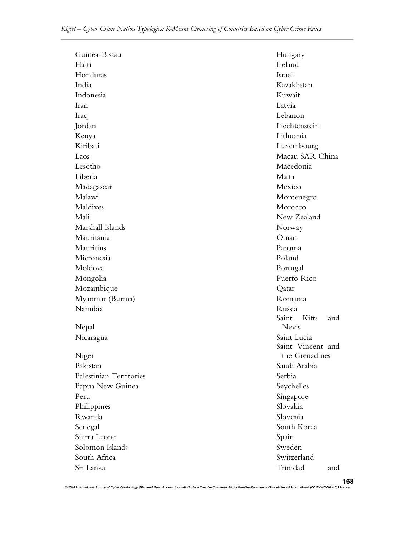| Haiti<br>Ireland               |            |  |
|--------------------------------|------------|--|
|                                |            |  |
| Honduras<br>Israel             |            |  |
| India<br>Kazakhstan            |            |  |
| Indonesia<br>Kuwait            |            |  |
| Latvia<br>Iran                 |            |  |
| Lebanon<br>Iraq                |            |  |
| Liechtenstein<br>Jordan        |            |  |
| Lithuania<br>Kenya             |            |  |
| Kiribati<br>Luxembourg         |            |  |
| Macau SAR China<br>Laos        |            |  |
| Macedonia<br>Lesotho           |            |  |
| Liberia<br>Malta               |            |  |
| Mexico<br>Madagascar           |            |  |
| Malawi<br>Montenegro           |            |  |
| Maldives<br>Morocco            |            |  |
| New Zealand<br>Mali            |            |  |
| Marshall Islands<br>Norway     |            |  |
| Mauritania<br>Oman             |            |  |
| Mauritius<br>Panama            |            |  |
| Poland<br>Micronesia           |            |  |
| Moldova<br>Portugal            |            |  |
| Puerto Rico<br>Mongolia        |            |  |
| Mozambique<br>Qatar            |            |  |
| Myanmar (Burma)<br>Romania     |            |  |
| Namibia<br>Russia              |            |  |
| Saint Kitts<br>Nevis           | and        |  |
| Nepal<br>Saint Lucia           |            |  |
| Nicaragua<br>Saint Vincent and |            |  |
| Niger<br>the Grenadines        |            |  |
| Saudi Arabia<br>Pakistan       |            |  |
| Palestinian Territories        | Serbia     |  |
| Papua New Guinea               | Seychelles |  |
| Peru                           | Singapore  |  |
| Slovakia<br>Philippines        |            |  |
| Rwanda<br>Slovenia             |            |  |
| South Korea<br>Senegal         |            |  |
| Sierra Leone<br>Spain          |            |  |
| Sweden<br>Solomon Islands      |            |  |
| Switzerland<br>South Africa    |            |  |
| Trinidad<br>Sri Lanka          | and        |  |